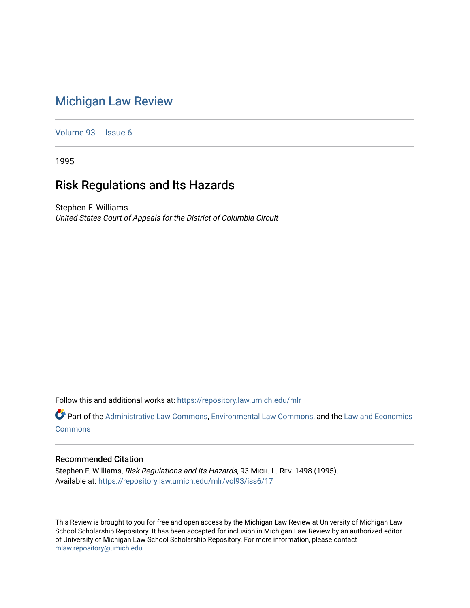# [Michigan Law Review](https://repository.law.umich.edu/mlr)

[Volume 93](https://repository.law.umich.edu/mlr/vol93) | [Issue 6](https://repository.law.umich.edu/mlr/vol93/iss6)

1995

## Risk Regulations and Its Hazards

Stephen F. Williams United States Court of Appeals for the District of Columbia Circuit

Follow this and additional works at: [https://repository.law.umich.edu/mlr](https://repository.law.umich.edu/mlr?utm_source=repository.law.umich.edu%2Fmlr%2Fvol93%2Fiss6%2F17&utm_medium=PDF&utm_campaign=PDFCoverPages) 

Part of the [Administrative Law Commons,](http://network.bepress.com/hgg/discipline/579?utm_source=repository.law.umich.edu%2Fmlr%2Fvol93%2Fiss6%2F17&utm_medium=PDF&utm_campaign=PDFCoverPages) [Environmental Law Commons](http://network.bepress.com/hgg/discipline/599?utm_source=repository.law.umich.edu%2Fmlr%2Fvol93%2Fiss6%2F17&utm_medium=PDF&utm_campaign=PDFCoverPages), and the [Law and Economics](http://network.bepress.com/hgg/discipline/612?utm_source=repository.law.umich.edu%2Fmlr%2Fvol93%2Fiss6%2F17&utm_medium=PDF&utm_campaign=PDFCoverPages)  [Commons](http://network.bepress.com/hgg/discipline/612?utm_source=repository.law.umich.edu%2Fmlr%2Fvol93%2Fiss6%2F17&utm_medium=PDF&utm_campaign=PDFCoverPages)

#### Recommended Citation

Stephen F. Williams, Risk Regulations and Its Hazards, 93 MICH. L. REV. 1498 (1995). Available at: [https://repository.law.umich.edu/mlr/vol93/iss6/17](https://repository.law.umich.edu/mlr/vol93/iss6/17?utm_source=repository.law.umich.edu%2Fmlr%2Fvol93%2Fiss6%2F17&utm_medium=PDF&utm_campaign=PDFCoverPages) 

This Review is brought to you for free and open access by the Michigan Law Review at University of Michigan Law School Scholarship Repository. It has been accepted for inclusion in Michigan Law Review by an authorized editor of University of Michigan Law School Scholarship Repository. For more information, please contact [mlaw.repository@umich.edu.](mailto:mlaw.repository@umich.edu)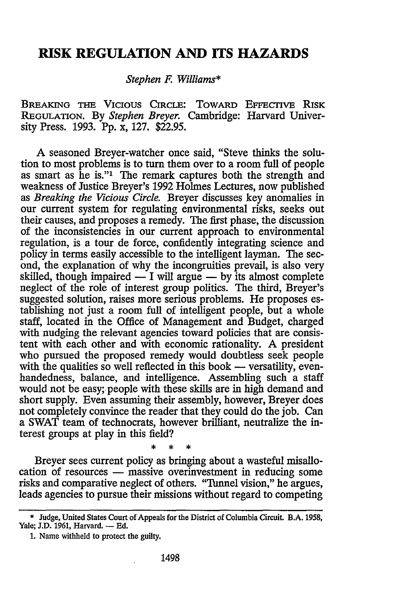### **RISK REGULATION AND ITS HAZARDS**

#### *Stephen F. Williams\**

BREAKING **THE VICIOUS** CIRCLE: TOWARD EFFEcIvE **RISK** REGULATION. **By** *Stephen Breyer.* Cambridge: Harvard University Press. 1993. **Pp.** x, **127. \$22.95.**

A seasoned Breyer-watcher once said, "Steve thinks the solution to most problems is to turn them over to a room full of people as smart as he is."<sup>1</sup> The remark captures both the strength and weakness of Justice Breyer's 1992 Holmes Lectures, now published as *Breaking the Vicious Circle.* Breyer discusses key anomalies in our current system for regulating environmental risks, seeks out their causes, and proposes a remedy. The first phase, the discussion of the inconsistencies in our current approach to environmental regulation, is a tour de force, confidently integrating science and policy in terms easily accessible to the intelligent layman. The second, the explanation of why the incongruities prevail, is also very skilled, though impaired — I will argue — by its almost complete neglect of the role of interest group politics. The third, Breyer's suggested solution, raises more serious problems. He proposes establishing not just a room full of intelligent people, but a whole staff, located in the Office of Management and Budget, charged with nudging the relevant agencies toward policies that are consistent with each other and with economic rationality. A president who pursued the proposed remedy would doubtless seek people with the qualities so well reflected in this book — versatility, evenhandedness, balance, and intelligence. Assembling such a staff would not be easy; people with these skills are in high demand and short supply. Even assuming their assembly, however, Breyer does not completely convince the reader that they could do the job. Can a SWAT team of technocrats, however brilliant, neutralize the interest groups at play in this field?

Breyer sees current policy as bringing about a wasteful misallocation of resources **-** massive overinvestment in reducing some risks and comparative neglect of others. "Tunnel vision," he argues, leads agencies to pursue their missions without regard to competing

٠Ł

<sup>\*</sup> Judge, United States Court of Appeals for the District of Columbia Circuit. B.A. 1958, Yale; J.D. 1961, Harvard. - Ed.

**<sup>1.</sup>** Name withheld to protect the guilty.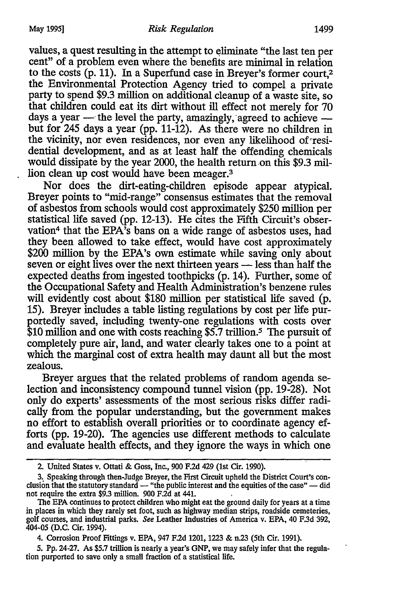values, a quest resulting in the attempt to eliminate "the last ten per cent" of a problem even where the benefits are minimal in relation to the costs (p. 11). In a Superfund case in Breyer's former court,<sup>2</sup> the Environmental Protection Agency tried to compel a private party to spend \$9.3 million on additional cleanup of a waste site, so that children could eat its dirt without ill effect not merely for 70 days a year - the level the party, amazingly, agreed to achieve but for 245 days a year (pp. 11-12). As there were no children in the vicinity, nor even residences, nor even any likelihood of residential development, and as at least half the offending chemicals would dissipate by the year 2000, the health return on this \$9.3 million clean up cost would have been meager.<sup>3</sup>

Nor does the dirt-eating-children episode appear atypical. Breyer points to "mid-range" consensus estimates that the removal of asbestos from schools would cost approximately \$250 million per statistical life saved (pp. 12-13). He cites the Fifth Circuit's observation<sup>4</sup> that the EPA's bans on a wide range of asbestos uses, had they been allowed to take effect, would have cost approximately \$200 million by the EPA's own estimate while saving only about seven or eight lives over the next thirteen years - less than half the expected deaths from ingested toothpicks (p. 14). Further, some of the Occupational Safety and Health Administration's benzene rules will evidently cost about \$180 million per statistical life saved (p. 15). Breyer includes a table listing regulations by cost per life purportedly saved, including twenty-one regulations with costs over \$10 million and one with costs reaching \$5.7 trillion.<sup>5</sup> The pursuit of completely pure air, land, and water clearly takes one to a point at which the marginal cost of extra health may daunt all but the most zealous.

Breyer argues that the related problems of random agenda selection and inconsistency compound tunnel vision (pp. 19-28). Not only do experts' assessments of the most serious risks differ radically from the popular understanding, but the government makes no effort to establish overall priorities or to coordinate agency efforts (pp. 19-20). The agencies use different methods to calculate and evaluate health effects, and they ignore the ways in which one

- 2. United States v. Ottati & Goss, Inc., 900 F.2d 429 (1st Cir. 1990).
- 3. Speaking through then-Judge Breyer, the First Circuit upheld the District Court's con- clusion that the statutory standard "the public interest and the equities of the case" did not require the extra \$9.3 million. 900 **F.2d** at 441.

The **EPA** continues to protect children who might eat the ground daily for years at a time in places in which they rarely set foot, such as highway median strips, roadside cemeteries, golf courses, and industrial parks. *See* Leather Industries of America v. EPA, 40 F.3d 392, 404-05 **(D.C.** Cir. 1994).

<sup>4.</sup> Corrosion Proof Fittings v. EPA, 947 F2d 1201, 1223 & n.23 (5th Cir. 1991).

<sup>5.</sup> Pp. 24-27. As \$5.7 trillion is nearly a year's GNP, we may safely infer that the regulation purported to save only a small fraction of a statistical life.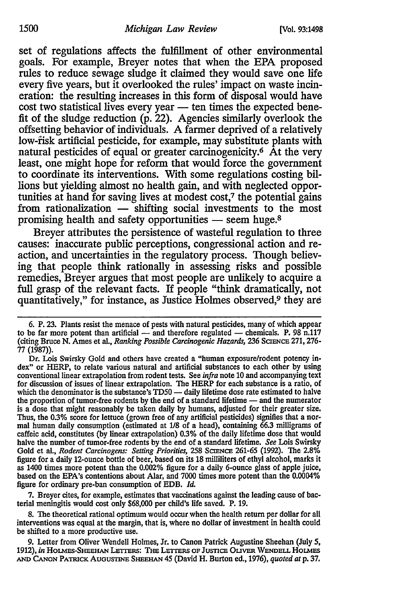set of regulations affects the fulfillment of other environmental goals. For example, Breyer notes that when the **EPA** proposed rules to reduce sewage sludge it claimed they would save one life every five years, but it overlooked the rules' impact on waste incineration: the resulting increases in this form of disposal would have cost two statistical lives every year **-** ten times the expected benefit of the sludge reduction (p. 22). Agencies similarly overlook the offsetting behavior of individuals. A farmer deprived of a relatively low-fisk artificial pesticide, for example, may substitute plants with natural pesticides of equal or greater carcinogenicity.<sup>6</sup> At the very least, one might hope for reform that would force the government to coordinate its interventions. With some regulations costing billions but yielding almost no health gain, and with neglected opportunities at hand for saving lives at modest cost,<sup>7</sup> the potential gains from rationalization **-** shifting social investments to the most promising health and safety opportunities **-** seem huge.8

Breyer attributes the persistence of wasteful regulation to three causes: inaccurate public perceptions, congressional action and reaction, and uncertainties in the regulatory process. Though believing that people think rationally in assessing risks and possible remedies, Breyer argues that most people are unlikely to acquire a full grasp of the relevant facts. If people "think dramatically, not quantitatively," for instance, as Justice Holmes observed,<sup>9</sup> they are

7. Breyer cites, for example, estimates that vaccinations against the leading cause of bacterial meningitis would cost only \$68,000 per child's life saved. P. **19.**

**8.** The theoretical rational optimum would occur when the health return per dollar for all interventions was equal at the margin, that is, where no dollar of investment in health could be shifted to a more productive use.

9. Letter from Oliver Wendell Holmes, Jr. to Canon Patrick Augustine Sheehan (July 5, 1912), in HOLMES-SHEEHAN LETTERS: THE LETTERS OF JUSTICE OLIVER WENDELL HOLMES **AND CANON PATRICK Auous'm SHEE-HAN** 45 (David H. Burton ed., 1976), *quoted at* p. 37.

<sup>6.</sup> P. 23. Plants resist the menace of pests with natural pesticides, many of which appear to be far more potent than artificial  $-$  and therefore regulated  $-$  chemicals. P. 98 n.117 (citing Bruce N. Ames et al., *Ranking Possible Carcinogenic Hazards*, 236 SCIENCE 271, 276-77 (1987)).

Dr. Lois Swirsky Gold and others have created a "human exposure/rodent potency index" or HERP, to relate various natural and artificial substances to each other by using conventional linear extrapolation from rodent tests. See *infra* note **10** and accompanying text for discussion of issues of linear extrapolation. The HERP for each substance is a ratio, of which the denominator is the substance's **TD50 -** daily lifetime dose rate estimated to halve the proportion of tumor-free rodents by the end of a standard lifetime — and the numerator is a dose that might reasonably be taken daily by humans, adjusted for their greater size. Thus, the **0.3%** score for lettuce (grown free of any artificial pesticides) signifies that a nor- mal human daily consumption (estimated at **1/8** of a head), containing 66.3 milligrams of caffeic acid, constitutes (by linear extrapolation) 0.3% of the daily lifetime dose that would halve the number of tumor-free rodents by the end of a standard lifetime. *See* Lois Swirsky Gold et al., *Rodent Carcinogens: Setting Priorities,* 258 SCIENCE 261-65 (1992). The 2.8% figure for a daily 12-ounce bottle of beer, based on its **18** milliliters of ethyl alcohol, marks it as 1400 times more potent than the 0.002% figure for a daily 6-ounce glass of apple juice, based on the EPA's contentions about Alar, and 7000 times more potent than the 0.0004% figure for ordinary pre-ban consumption of EDB. *Id.*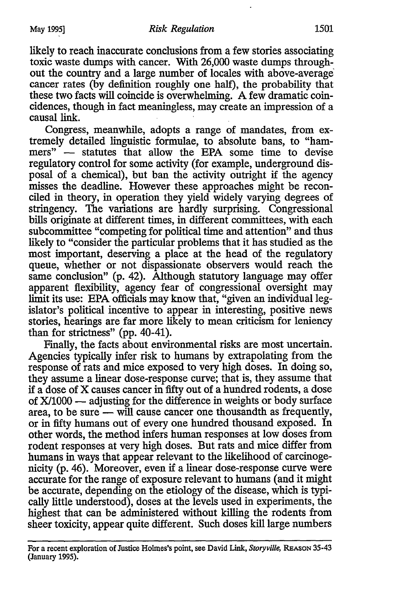likely to reach inaccurate conclusions from a few stories associating toxic waste dumps with cancer. With 26,000 waste dumps throughout the country and a large number of locales with above-average cancer rates (by definition roughly one half), the probability that these two facts will coincide is overwhelming. A few dramatic coincidences, though in fact meaningless, may create an impression of a causal link.

Congress, meanwhile, adopts a range of mandates, from extremely detailed linguistic formulae, to absolute bans, to "hammers" - statutes that allow the EPA some time to devise regulatory control for some activity (for example, underground disposal of a chemical), but ban the activity outright if the agency misses the deadline. However these approaches might be reconciled in theory, in operation they yield widely varying degrees of stringency. The variations are hardly surprising. Congressional bills originate at different times, in different committees, with each subcommittee "competing for political time and attention" and thus likely to "consider the particular problems that it has studied as the most important, deserving a place at the head of the regulatory queue, whether or not dispassionate observers would reach the same conclusion" (p. 42). Although statutory language may offer apparent flexibility, agency fear of congressional oversight may limit its use: EPA officials may know that, "given an individual legislator's political incentive to appear in interesting, positive news stories, hearings are far more likely to mean criticism for leniency than for strictness" (pp. 40-41).

Finally, the facts about environmental risks are most uncertain. Agencies typically infer risk to humans by extrapolating from the response of rats and mice exposed to very high doses. In doing so, they assume a linear dose-response curve; that is, they assume that if a dose of X causes cancer in fifty out of a hundred rodents, a dose of  $X/1000$  — adjusting for the difference in weights or body surface area, to be sure — will cause cancer one thousandth as frequently, or in fifty humans out of every one hundred thousand exposed. In other words, the method infers human responses at low doses from rodent responses at very high doses. But rats and mice differ from humans in ways that appear relevant to the likelihood of carcinogenicity (p. 46). Moreover, even if a linear dose-response curve were accurate for the range of exposure relevant to humans (and it might be accurate, depending on the etiology of the disease, which is typically little understood), doses at the levels used in experiments, the highest that can be administered without killing the rodents from sheer toxicity, appear quite different. Such doses kill large numbers

For a recent exploration of Justice Holmes's point, see David Link, *Storyville* **REASON** 35-43 (January 1995).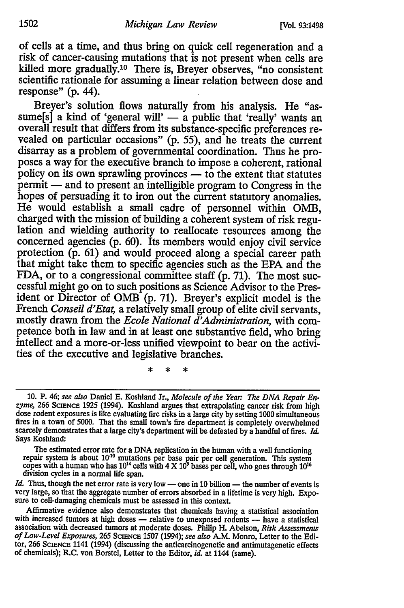of cells at a time, and thus bring on quick cell regeneration and a risk of cancer-causing mutations that is not present when cells are killed more gradually.10 There is, Breyer observes, "no consistent scientific rationale for assuming a linear relation between dose and response" (p. 44).

Breyer's solution flows naturally from his analysis. He "assume<sup>[s]</sup> a kind of 'general will' — a public that 'really' wants an overall result that differs from its substance-specific preferences revealed on particular occasions" (p. 55), and he treats the current disarray as a problem of governmental coordination. Thus he proposes a way for the executive branch to impose a coherent, rational policy on its own sprawling provinces - to the extent that statutes permit **-** and to present an intelligible program to Congress in the hopes of persuading it to iron out the current statutory anomalies. He would establish a small cadre of personnel within OMB, charged with the mission of building a coherent system of risk regu- lation and wielding authority to reallocate resources among the concerned agencies (p. 60). Its members would enjoy civil service protection (p. 61) and would proceed along a special career path that might take them to specific agencies such as the EPA and the FDA, or to a congressional committee staff (p. 71). The most successful might go on to such positions as Science Advisor to the President or Director of OMB (p. 71). Breyer's explicit model is the French *Conseil d'Etat,* a relatively small group of elite civil servants, mostly drawn from the *Ecole National d'Administration*, with competence both in law and in at least one substantive field, who bring intellect and a more-or-less unified viewpoint to bear on the activities of the executive and legislative branches.

ż

The estimated error rate for a DNA replication in the human with a well functioning repair system is about  $10^{10}$  mutations per base pair per cell generation. This system copes with a human who has  $10^{14}$  cells with 4 division cycles in a normal life span.

*Id.* Thus, though the net error rate is very low — one in 10 billion — the number of events is very large, so that the aggregate number of errors absorbed in a lifetime is very high. Expo- sure to cell-damaging chemicals must be assessed in this context.

Affirmative evidence also demonstrates that chemicals having a statistical association with increased tumors at high doses - relative to unexposed rodents - have a statistical association with decreased tumors at moderate doses. Philip H. Abelson, *Risk Assessments of Low-Level Exposures,* 265 ScIEcE 1507 (1994); *see also* A.M. Monro, Letter to the Editor, 266 **ScIENCE** 1141 (1994) (discussing the anticarcinogenetic and antimutagenetic effects of chemicals); R.C. von Borstel, Letter to the Editor, *id.* at 1144 (same).

<sup>10.</sup> P. 46; see also Daniel E. Koshland Jr., *Molecule of the Year: The DNA Repair En*zyme, 266 ScIENCE 1925 (1994). Koshland argues that extrapolating cancer risk from high dose rodent exposures is like evaluating fire risks in a large city by setting 1000 simultaneous fires in a town of 5000. That the small town's fire department is completely overwhelmed scarcely demonstrates that a large city's department will be defeated by a handful of fires. *Id.* Says Koshland: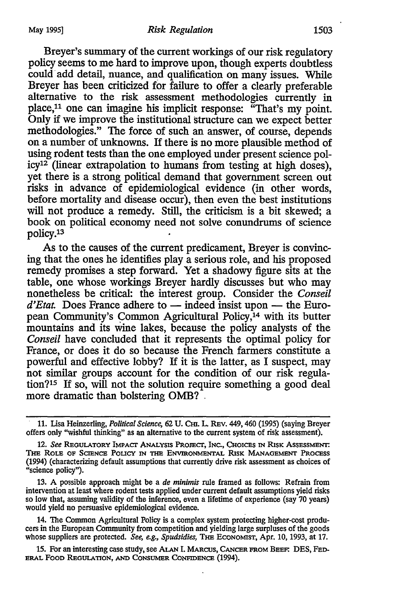Breyer's summary of the current workings of our risk regulatory policy seems to me hard to improve upon, though experts doubtless could add detail, nuance, and qualification on many issues. While Breyer has been criticized for failure to offer a clearly preferable alternative to the risk assessment methodologies currently in place,<sup>11</sup> one can imagine his implicit response: "That's my point. Only if we improve the institutional structure can we expect better methodologies." The force of such an answer, of course, depends on a number of unknowns. If there is no more plausible method of icy<sup>12</sup> (linear extrapolation to humans from testing at high doses), yet there is a strong political demand that government screen out risks in advance of epidemiological evidence (in other words, before mortality and disease occur), then even the best institutions will not produce a remedy. Still, the criticism is a bit skewed; a book on political economy need not solve conundrums of science policy.<sup>13</sup>

As to the causes of the current predicament, Breyer is convincing that the ones he identifies play a serious role, and his proposed remedy promises a step forward. Yet a shadowy figure sits at the table, one whose workings Breyer hardly discusses but who may nonetheless be critical: the interest group. Consider the *Conseil*  $d'Etat$ . Does France adhere to  $-$  indeed insist upon  $-$  the European Community's Common Agricultural Policy, $14$  with its butter mountains and its wine lakes, because the policy analysts of the *Conseil* have concluded that it represents the optimal policy for France, or does it do so because the French farmers constitute a powerful and effective lobby? If it is the latter, as I suspect, may not similar groups account for the condition of our risk regulation?15 If so, will not the solution require something a good deal more dramatic than bolstering OMB? **-**

**13. A** possible approach might be a *de miniris* rule framed as follows: Refrain from intervention at least where rodent tests applied under current default assumptions yield risks so low that, assuming validity of the inference, even a lifetime of experience (say **70** years) would yield no persuasive epidemiological evidence.

14. The Common Agricultural Policy is a complex system protecting higher-cost producers in the European Community from competition and yielding large surpluses of the goods whose suppliers are protected. *See* **e.g.,** *Spudsidies,* TiE ECONOMIsT, Apr. **10, 1993,** at **17.**

**15.** For an interesting case study, see **ALAN I. MARCUS,** CANCER **FROM BEE. DES,** FED-ERAL FOOD REGULATION, **AND CONSUMER CONFIDENCE** (1994).

<sup>11.</sup> Lisa Heinzerling, *Political Science,* 62 U. **Cm.** L. REv. 449, 460 (1995) (saying Breyer offers only "wishful thinking" as an alternative to the current system of risk assessment).

<sup>12.</sup> See Regulatory Impact Analysis Project, Inc., Choices in Risk Assessment. **Tm** ROLE OF ScIENcE PoucY IN **THm** ENviRONmENTAL RISK **MANAGEMENT PROCESS** (1994) (characterizing default assumptions that currently drive risk assessment as choices of "science policy").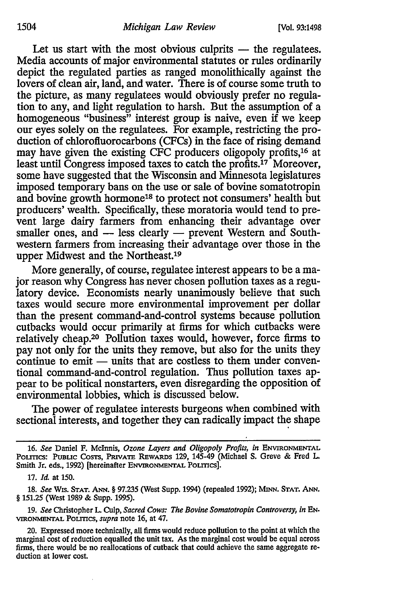Let us start with the most obvious culprits - the regulatees. Media accounts of major environmental statutes or rules ordinarily depict the regulated parties as ranged monolithically against the lovers of clean air, land, and water. There is of course some truth to the picture, as many regulatees would obviously prefer no regulation to any, and light regulation to harsh. But the assumption of a homogeneous "business" interest group is naive, even if we keep our eyes solely on the regulatees. For example, restricting the production of chlorofluorocarbons (CFCs) in the face of rising demand may have given the existing CFC producers oligopoly profits,16 at least until Congress imposed taxes to catch the profits. 17 Moreover, some have suggested that the Wisconsin and Minnesota legislatures imposed temporary bans on the use or sale of bovine somatotropin and bovine growth hormone<sup>18</sup> to protect not consumers' health but producers' wealth. Specifically, these moratoria would tend to prevent large dairy farmers from enhancing their advantage over smaller ones, and - less clearly - prevent Western and Southwestern farmers from increasing their advantage over those in the upper Midwest and the Northeast.<sup>19</sup>

More generally, of course, regulatee interest appears to be a major reason why Congress has never chosen pollution taxes as a regulatory device. Economists nearly unanimously believe that such taxes would secure more environmental improvement per dollar than the present command-and-control systems because pollution cutbacks would occur primarily at firms for which cutbacks were relatively cheap.20 Pollution taxes would, however, force firms to pay not only for the units they remove, but also for the units they continue to emit - units that are costless to them under conventional command-and-control regulation. Thus pollution taxes appear to be political nonstarters, even disregarding the opposition of environmental lobbies, which is discussed below.

The power of regulatee interests burgeons when combined with sectional interests, and together they can radically impact the shape

**<sup>16.</sup>** *See* Daniel **F.** Mclnnis, *Ozone Layers and Oligopoly Profits, in* **ENVIRONMENTAL PoLrTcs: PUBLIc** CosTs, PRIVATE REWARDs **129,** 145-49 (Michael **S.** Greve & Fred L. Smith Jr. eds., 1992) [hereinafter **ENVIRONMENTAL** PoLmcs].

<sup>17.</sup> *Id.* at 150.

<sup>18.</sup> *See* Wis. **STAT. ANN.** § 97.235 (West Supp. 1994) (repealed 1992); MINN. **STAT. ANN.** § 151.25 (West 1989 & Supp. 1995).

<sup>19.</sup> *See* Christopher L. Culp, *Sacred Cows: The Bovine Somatotropin Controversy, in EN.* **VIRONMENTAL** PoLITcs, *supra* note 16, at 47.

<sup>20.</sup> Expressed more technically, all firms would reduce poliution to the point at which the marginal cost of reduction equalled the unit tax. As the marginal cost would be equal across firms, there would be **no** reallocations **of** cutback that could achieve the same aggregate reduction at lower cost.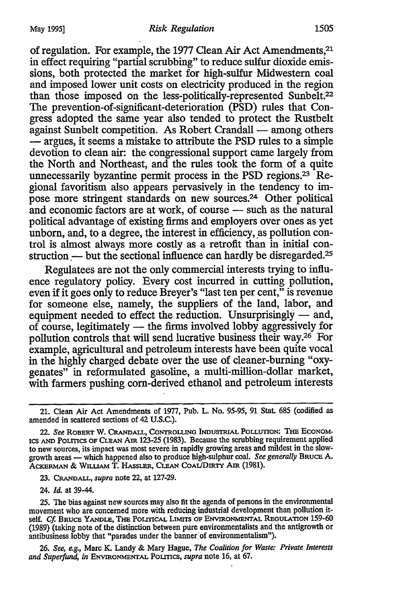of regulation. For example, the 1977 Clean Air Act Amendments,<sup>21</sup> in effect requiring "partial scrubbing" to reduce sulfur dioxide emissions, both protected the market for high-sulfur Midwestern coal and imposed lower unit costs on electricity produced in the region than those imposed on the less-politically-represented Sunbelt.<sup>22</sup> The prevention-of-significant-deterioration (PSD) rules that Congress adopted the same year also tended to protect the Rustbelt against Sunbelt competition. As Robert Crandall — among others **-** argues, it seems a mistake to attribute the **PSD** rules to a simple devotion to clean air: the congressional support came largely from the North and Northeast, and the rules took the form of a quite unnecessarily byzantine permit process in the PSD regions.23 Regional favoritism also appears pervasively in the tendency to impose more stringent standards on new sources.<sup>24</sup> Other political and economic factors are at work, of course - such as the natural political advantage of existing firms and employers over ones as yet unborn, and, to a degree, the interest in efficiency, as pollution control is almost always more costly as a retrofit than in initial construction — but the sectional influence can hardly be disregarded.<sup>25</sup>

Regulatees are not the only commercial interests trying to influence regulatory policy. Every cost incurred in cutting pollution, even if it goes only to reduce Breyer's "last ten per cent," is revenue for someone else, namely, the suppliers of the land, labor, and equipment needed to effect the reduction. Unsurprisingly — and,  $of course,$  legitimately  $-$  the firms involved lobby aggressively for pollution controls that will send lucrative business their way.26 For example, agricultural and petroleum interests have been quite vocal in the highly charged debate over the use of cleaner-burning "oxygenates" in reformulated gasoline, a multi-million-dollar market, with farmers pushing corn-derived ethanol and petroleum interests

23. CRANDALL, *supra* note 22, at 127-29.

24. *ld.* at 39-44.

25. The bias against new sources may also fit the agenda of persons in the environmental movement who are concerned more with reducing industrial development than pollution itself. *Cf.* BRUCE YANDLE, **THE** POLrICAL LmTrrs **OF ENVIRONMENTAL** REGULATION 159-60 (1989) (taking note of the distinction between pure environmentalists and the antigrowth or antibusiness lobby that "parades under the banner of environmentalism").

*26. See, eg.,* Marc K. Landy & Mary Hague, *The Coalition for Waste: Private Interests and Superfund, in* ENVmONMENTAL POLITIcs, *supra* note **16,** at 67.

<sup>21.</sup> Clean Air Act Amendments of 1977, Pub. L. No. **95-95, 91** Stat. 685 (codified as amended in scattered sections of 42 U.S.C.).

<sup>22.</sup> *See* ROBERT W. **CRANDALL,** CONTROLLING **INDUSTRIAL POLLUTION: THE ECONOM-ICS AND** POLITICS OF **CLEAN** Am 123-25 **(1983).** Because the scrubbing requirement applied to new sources, its impact was most severe in rapidly growing areas and mildest in the slowgrowth areas - which happened also to produce high-sulphur coal. *See generally* BRUCE A. AcRmuMAN & **WiLLiAM** T. HASSLER, **CLEAN** COAL/DIRTY Am (1981).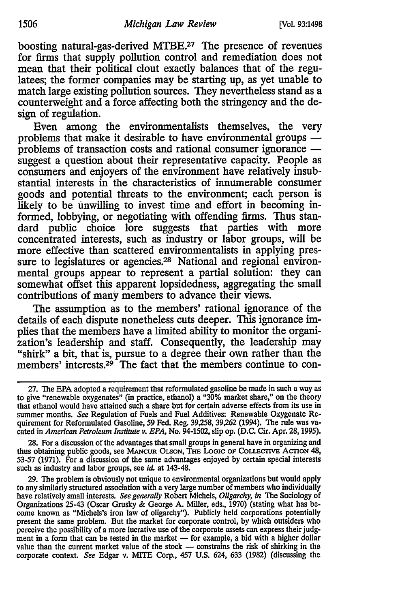boosting natural-gas-derived MTBE.<sup>27</sup> The presence of revenues for firms that supply pollution control and remediation does not mean that their political clout exactly balances that of the regulatees; the former companies may be starting up, as yet unable to match large existing pollution sources. They nevertheless stand as a counterweight and a force affecting both the stringency and the design of regulation.

Even among the environmentalists themselves, the very problems that make it desirable to have environmental groups  problems of transaction costs and rational consumer ignorance  suggest a question about their representative capacity. People as consumers and enjoyers of the environment have relatively insubstantial interests in the characteristics of innumerable consumer goods and potential threats to the environment; each person is likely to be unwilling to invest time and effort in becoming informed, lobbying, or negotiating with offending firms. Thus standard public choice lore suggests that parties with more concentrated interests, such as industry or labor groups, **will be** more effective than scattered environmentalists in applying pressure to legislatures or agencies.<sup>28</sup> National and regional environmental groups appear to represent a partial solution: they can somewhat offset this apparent lopsidedness, aggregating the small contributions of many members to advance their views.

The assumption as to the members' rational ignorance of the details of each dispute nonetheless cuts deeper. This ignorance implies that the members have a limited ability to monitor the organization's leadership and staff. Consequently, the leadership may zation's leadership and staff. Consequently, the leadership may "shirk" a bit, that is, pursue to a degree their own rather than the members' interests.<sup>29</sup> The fact that the members continue to con-

**28.** For a discussion of the advantages that small groups in general have in organizing and thus obtaining public goods, see MANCUR OLSON, THE LOGIC OF COLLECTIVE ACTION 48, **53-57 (1971).** For a discussion of the same advantages enjoyed **by** certain special interests such as industry and labor groups, see *id.* at 143-48.

**29.** The problem is obviously not unique to environmental organizations but would apply to any similarly structured association with a very large number of members who individually have relatively small interests. *See generally* Robert Michels, *Oligarchy, in* The Sociology of Organizations 25-43 (Oscar Grusky **&** George **A.** Miller, eds., **1970)** (stating what has become known as "Michels's iron law of oligarchy"). Publicly held corporations potentially present the same problem. But the market for corporate control, **by** which outsiders who perceive the possibility of a more lucrative use of the corporate assets can express their **judg**ment in a form that can be tested in the market — for example, a bid with a higher dollar value than the current market value of the stock **-** constrains the risk of shirking in the corporate context. *See* Edgar v. **MITE** Corp., 457 **U.S.** 624, **633 (1982)** (discussing the

**<sup>27.</sup>** The **EPA** adopted a requirement that reformulated gasoline be made in such a way as to give "renewable oxygenates" (in practice, ethanol) a **"30%** market share," on the theory that ethanol would have attained such a share but for certain adverse effects from its use in summer months. *See* Regulation of Fuels and Fuel Additives: Renewable Oxygenate Requirement for Reformulated Gasoline, **59** Fed. Reg. **39,258, 39,262** (1994). The rule was vacated in *American Petroleum Institute v. EPA,* No. 94-1502, slip op. **(D.C.** Cir. Apr. **28,1995).**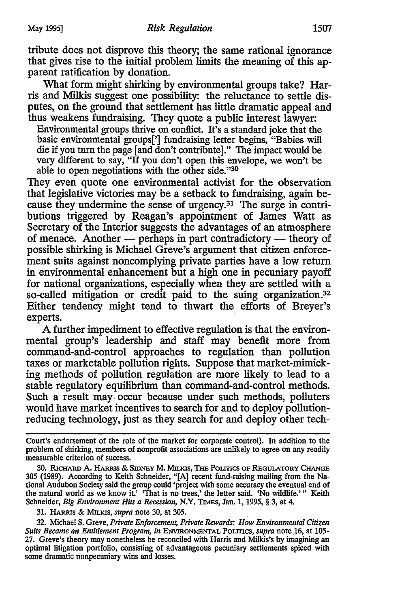tribute does not disprove this theory; the same rational ignorance that gives rise to the initial problem limits the meaning of this apparent ratification by donation.

What form might shirking by environmental groups take? Harris and Milkis suggest one possibility: the reluctance to settle disputes, on the ground that settlement has little dramatic appeal and thus weakens fundraising. They quote a public interest lawyer:

Environmental groups thrive on conflict. It's a standard joke that the basic environmental groups['] fundraising letter begins, "Babies will die if you turn the page [and don't contribute]." The impact would be very different to say, "If you don't open this envelope, we won't be able to open negotiations with the other side."<sup>30</sup>

They even quote one environmental activist for the observation that legislative victories may be a setback to fundraising, again because they undermine the sense of urgency.31 The surge in contributions triggered by Reagan's appointment of James Watt as Secretary of the Interior suggests the advantages of an atmosphere of menace. Another  $-$  perhaps in part contradictory  $-$  theory of possible shirking is Michael Greve's argument that citizen enforcement suits against noncomplying private parties have a low return in environmental enhancement but a high one in pecuniary payoff for national organizations, especially when they are settled with a so-called mitigation or credit paid to the suing organization.<sup>32</sup> Either tendency might tend to thwart the efforts of Breyer's experts.

A further impediment to effective regulation is that the environmental group's leadership and staff may benefit more from command-and-control approaches to regulation than pollution taxes or marketable pollution rights. Suppose that market-mimicking methods of pollution regulation are more likely to lead to a stable regulatory equilibrium than command-and-control methods. Such a result may occur because under such methods, polluters would have market incentives to search for and to deploy pollutionreducing technology, just as they search for and deploy other tech-

Court's endorsement of the role of the market for corporate control). In addition to the problem of shirking, members of nonprofit associations are unlikely to agree on any readily measurable criterion of success.

30. RicHARD A. *HAius* & SmEY M. Mms, TE PoLtrrcs OF REGULATORY **CHANGE** 305 (1989). According to Keith Schneider, "[A] recent fund-raising mailing from the National Audubon Society said the group could 'project with some accuracy the eventual end of the natural world as we know it.' 'That is no trees,' the letter said. 'No wildlife.'" Keith Schneider, *Big Environment Hits a Recession*, N.Y. TIMES, Jan. 1, 1995, § 3, at 4.

31. HAgms & **MILKas,** *supra* note 30, at 305.

32. Michael S. Greve, *Private Enforcemen; Private Rewards: How Environmental Citizen Suits Became an Entitlement Program, in* **ENVIRONMENTAL** POLrrcs, *supra* note 16, at 105- 27. Greve's theory may nonetheless be reconciled with Harris and Milkis's by imagining an optimal litigation portfolio, consisting of advantageous pecuniary settlements spiced with some dramatic nonpecuniary wins and losses.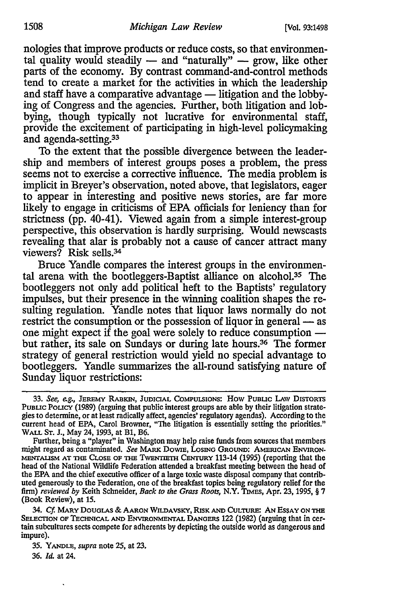nologies that improve products or reduce costs, so that environmental quality would steadily  $-$  and "naturally"  $-$  grow, like other parts of the economy. By contrast command-and-control methods tend to create a market for the activities in which the leadership and staff have a comparative advantage - litigation and the lobbying of Congress and the agencies. Further, both litigation and lobbying, though typically not lucrative for environmental staff, provide the excitement of participating in high-level policymaking and agenda-setting.<sup>33</sup>

To the extent that the possible divergence between the leadership and members of interest groups poses a problem, the press seems not to exercise a corrective influence. The media problem is implicit in Breyer's observation, noted above, that legislators, eager to appear in interesting and positive news stories, are far more likely to engage in criticisms of EPA officials for leniency than for strictness (pp. 40-41). Viewed again from a simple interest-group perspective, this observation is hardly surprising. Would newscasts revealing that alar is probably not a cause of cancer attract many viewers? Risk sells.34

Bruce Yandle compares the interest groups in the environmental arena with the bootleggers-Baptist alliance on alcohol.<sup>35</sup> The bootleggers not only add political heft to the Baptists' regulatory impulses, but their presence in the winning coalition shapes the resulting regulation. Yandle notes that liquor laws normally do not restrict the consumption or the possession of liquor in general — as one might expect if the goal were solely to reduce consumption  but rather, its sale on Sundays or during late hours.<sup>36</sup> The former strategy of general restriction would yield no special advantage to bootleggers. Yandle summarizes the all-round satisfying nature of Sunday liquor restrictions:

34. *Cf* MARY **DOUGLAS** & AARON WILDAVSKY, RISK **AND** CULTURE: AN ESSAY **ON THE** SELECTION OF TECHNICAL **AND** ENVIRONMENTAL **DANGERS** 122 (1982) (arguing that in cer- tain subcultures sects compete for adherents by depicting the outside world as dangerous and impure).

35. YANDLE, *supra* note 25, at 23. 36. *Id.* at 24.

**<sup>33.</sup>** *See, eg.,* **JEREMY** RAtIUN, JUDICIAL **COMPULSIONS:** How PuBLIc LAW DISTORTS PUBLIC POLICY (1989) (arguing that public interest groups are able by their litigation strategies to determine, or at least radically affect, agencies' regulatory agendas). According to the current head of EPA, Carol Browner, "The litigation is essentially setting the priorities." WALL **ST.** J., May 24, 1993, at B1, B6.

Further, being a "player" in washington may help raise funds from sources that members might regard as contaminated. *See MARK* DowiE, LOSING GROUND: AMERICAN ENVIRON-**MENTALISM AT THE** CLOSE OF **rmE** TwENTmm **CEmTRY** 113-14 (1995) (reporting that the head of the National Wildlife Federation attended a breakfast meeting between the head of the **EPA** and the chief executive officer of a large toxic waste disposal company that contributed generously to the Federation, one of the breakfast topics being regulatory relief for the firm) *reviewed by* Keith Schneider, *Back to the Grass Roots,* N.Y. TIMES, Apr. **23,** 1995, § 7 (Book Review), at 15.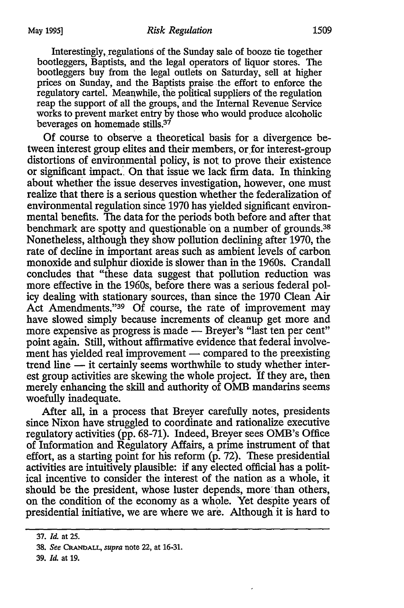Interestingly, regulations of the Sunday sale of booze tie together bootleggers, Baptists, and the legal operators of liquor stores. The bootleggers buy from the legal outlets on Saturday, sell at higher prices on Sunday, and the Baptists praise the effort to enforce the regulatory cartel. Meanwhile, the political suppliers of the regulation reap the support of all the groups, and the Internal Revenue Service works to prevent market entry by those who would produce alcoholic beverages on homemade stills.<sup>37</sup>

Of course to observe a theoretical basis for a divergence between interest group elites and their members, or for interest-group distortions of environmental policy, is not to prove their existence or significant impact.. On that issue we lack firm data. In thinking about whether the issue deserves investigation, however, one must realize that there is a serious question whether the federalization of environmental regulation since 1970 has yielded significant environmental benefits. The data for the periods both before and after that benchmark are spotty and questionable on a number of grounds.<sup>38</sup> Nonetheless, although they show pollution declining after 1970, the rate of decline in important areas such as ambient levels of carbon monoxide and sulphur dioxide is slower than in the 1960s. Crandall concludes that "these data suggest that pollution reduction was more effective in the 1960s, before there was a serious federal policy dealing with stationary sources, than since the 1970 Clean Air Act Amendments,"<sup>39</sup> Of course, the rate of improvement may have slowed simply because increments of cleanup get more and more expensive as progress is made - Breyer's "last ten per cent" point again. Still, without affirmative evidence that federal involvement has yielded real improvement — compared to the preexisting trend line - it certainly seems worthwhile to study whether interest group activities are skewing the whole project. If they are, then merely enhancing the skill and authority of **OMB** mandarins seems woefully inadequate.

After all, in a process that Breyer carefully notes, presidents since Nixon have struggled to coordinate and rationalize executive regulatory activities (pp. 68-71). Indeed, Breyer sees OMB's Office of Information and Regulatory Affairs, a prime instrument of that effort, as a starting point for his reform (p. 72). These presidential activities are intuitively plausible: if any elected official has a political incentive to consider the interest of the nation as a whole, it should be the president, whose luster depends, more than others, on the condition of the economy as a whole. Yet despite years of presidential initiative, we are where we are. Although it is hard to

**<sup>37.</sup>** *Id.* at **25.**

<sup>38.</sup> *See CRANDALL, supra* note 22, at **16-31.**

<sup>39.</sup> *Id.* at **19.**